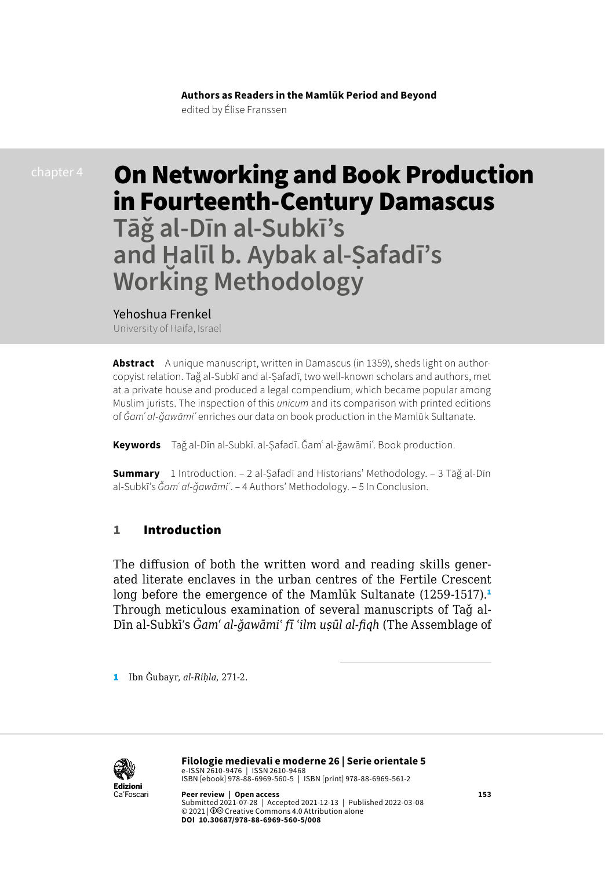# On Networking and Book Production in Fourteenth-Century Damascus **Tāǧ al-Dīn al-Subkī's**

**and Ḫalīl b. Aybak al-Ṣafadī's Working Methodology**

Yehoshua Frenkel

University of Haifa, Israel

**Abstract** A unique manuscript, written in Damascus (in 1359), sheds light on authorcopyist relation. Tağ al-Subkī and al-Ṣafadī, two well-known scholars and authors, met at a private house and produced a legal compendium, which became popular among Muslim jurists. The inspection of this *unicum* and its comparison with printed editions of *Ǧamʿ al-ǧawāmiʿ* enriches our data on book production in the Mamlūk Sultanate.

**Keywords** Taǧ al-Dīn al-Subkī. al-Ṣafadī. Ǧamʿ al-ǧawāmiʿ. Book production.

**Summary** 1 Introduction. – 2 al-Ṣafadī and Historians' Methodology. – 3 Tāǧ al-Dīn al-Subkī's *Ǧamʿ al-ǧawāmiʿ*. – 4 Authors' Methodology. – 5 In Conclusion.

#### 1 Introduction

The diffusion of both the written word and reading skills generated literate enclaves in the urban centres of the Fertile Crescent long before the emergence of the Mamlūk Sultanate (1259-1517).<sup>1</sup> Through meticulous examination of several manuscripts of Taǧ al-Dīn al-Subkī's *Ǧamʿ al-ǧawāmiʿ fī ʿilm uṣūl al-fiqh* (The Assemblage of

1 Ibn Ǧubayr, *al-Riḥla*, 271-2.

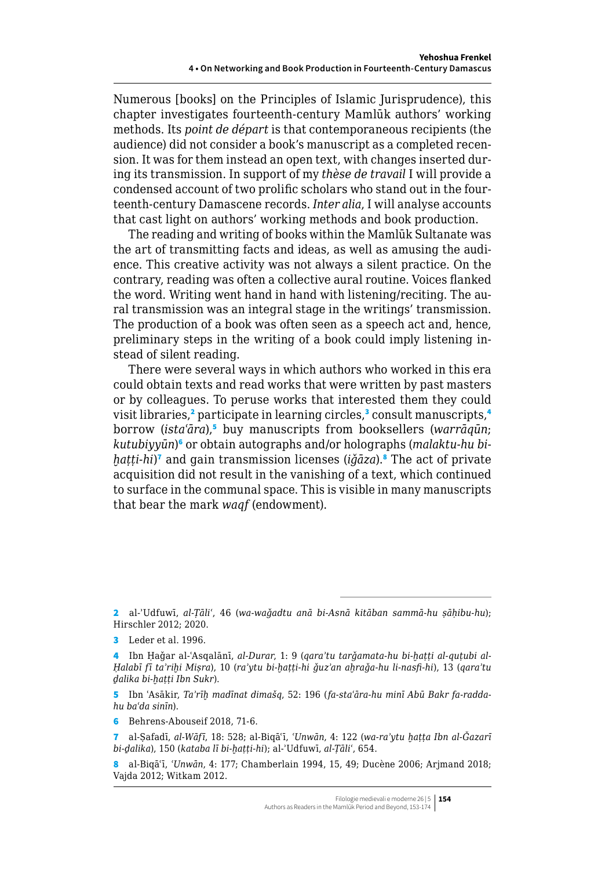Numerous [books] on the Principles of Islamic Jurisprudence), this chapter investigates fourteenth-century Mamlūk authors' working methods. Its *point de départ* is that contemporaneous recipients (the audience) did not consider a book's manuscript as a completed recension. It was for them instead an open text, with changes inserted during its transmission. In support of my *thèse de travail* I will provide a condensed account of two prolific scholars who stand out in the fourteenth-century Damascene records. *Inter alia*, I will analyse accounts that cast light on authors' working methods and book production.

The reading and writing of books within the Mamlūk Sultanate was the art of transmitting facts and ideas, as well as amusing the audience. This creative activity was not always a silent practice. On the contrary, reading was often a collective aural routine. Voices flanked the word. Writing went hand in hand with listening/reciting. The aural transmission was an integral stage in the writings' transmission. The production of a book was often seen as a speech act and, hence, preliminary steps in the writing of a book could imply listening instead of silent reading.

There were several ways in which authors who worked in this era could obtain texts and read works that were written by past masters or by colleagues. To peruse works that interested them they could visit libraries,<sup>2</sup> participate in learning circles,<sup>3</sup> consult manuscripts,<sup>4</sup> borrow (*istaʿāra*),<sup>5</sup> buy manuscripts from booksellers (*warrāqūn*; *kutubiyyūn*) 6 or obtain autographs and/or holographs (*malaktu-hu biḫaṭṭi-hi*) 7 and gain transmission licenses (*iǧāza*).<sup>8</sup> The act of private acquisition did not result in the vanishing of a text, which continued to surface in the communal space. This is visible in many manuscripts that bear the mark *waqf* (endowment).

5 Ibn ʿAsākir, *Taʾrīḫ madīnat dimašq*, 52: 196 (*fa-staʿāra-hu minī Abū Bakr fa-raddahu baʿda sinīn*).

6 Behrens-Abouseif 2018, 71-6.

7 al-Ṣafadī, *al-Wāfī*, 18: 528; al-Biqāʿī, *ʿUnwān*, 4: 122 (*wa-raʾytu ḫaṭṭa Ibn al-Ǧazarī bi-ḏalika*), 150 (*kataba lī bi-ḫaṭṭi-hi*); al-ʾUdfuwī, *al-Ṭāliʿ*, 654.

<sup>2</sup> al-ʾUdfuwī, *al-Ṭāliʿ*, 46 (*wa-waǧadtu anā bi-Asnā kitāban sammā-hu ṣāḥibu-hu*); Hirschler 2012; 2020.

<sup>3</sup> Leder et al. 1996.

<sup>4</sup> Ibn Ḥaǧar al-ʿAsqalānī, *al-Durar*, 1: 9 (*qaraʾtu tarǧamata-hu bi-ḫaṭṭi al-quṭubi al-Ḥalabī fī taʾriḫi Miṣra*), 10 (*raʾytu bi-ḫaṭṭi-hi ǧuzʾan aḫraǧa-hu li-nasfi-hi*), 13 (*qaraʾtu ḏalika bi-ḫaṭṭi Ibn Sukr*).

<sup>8</sup> al-Biqāʿī, *ʿUnwān*, 4: 177; Chamberlain 1994, 15, 49; Ducène 2006; Arjmand 2018; Vajda 2012; Witkam 2012.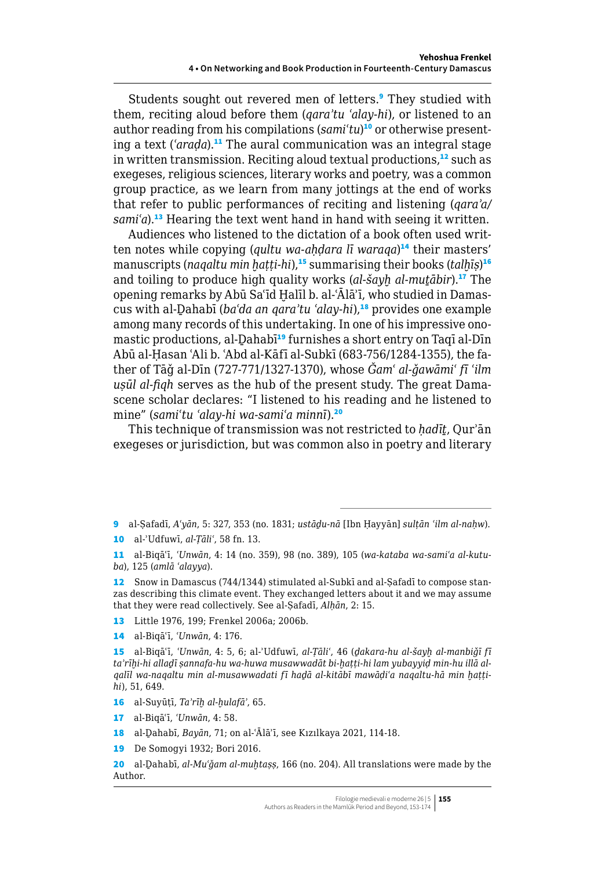Students sought out revered men of letters.<sup>9</sup> They studied with them, reciting aloud before them (*qaraʾtu ʿalay-hi*), or listened to an author reading from his compilations (*samiʿtu*) 10 or otherwise presenting a text (*ʿaraḍa*).<sup>11</sup> The aural communication was an integral stage in written transmission. Reciting aloud textual productions,<sup>12</sup> such as exegeses, religious sciences, literary works and poetry, was a common group practice, as we learn from many jottings at the end of works that refer to public performances of reciting and listening (*qaraʾa/ samiʿa*).<sup>13</sup> Hearing the text went hand in hand with seeing it written.

Audiences who listened to the dictation of a book often used written notes while copying (*qultu wa-aḥḍara lī waraqa*) <sup>14</sup> their masters' manuscripts (*naqaltu min ḫaṭṭi-hi*),<sup>15</sup> summarising their books (*talḫīṣ*) 16 and toiling to produce high quality works (*al-šayḫ al-muṯābir*).<sup>17</sup> The opening remarks by Abū Saʿīd Ḫalīl b. al-ʿĀlāʾī, who studied in Damascus with al-Ḏahabī (*baʿda an qaraʾtu ʿalay-hi*),<sup>18</sup> provides one example among many records of this undertaking. In one of his impressive onomastic productions, al-Dahabī<sup>19</sup> furnishes a short entry on Taqī al-Dīn Abū al-Ḥasan ʿAli b. ʿAbd al-Kāfī al-Subkī (683-756/1284-1355), the father of Tāǧ al-Dīn (727-771/1327-1370), whose *Ǧamʿ al-ǧawāmiʿ fī ʿilm uṣūl al-fiqh* serves as the hub of the present study. The great Damascene scholar declares: "I listened to his reading and he listened to mine" (*samiʿtu ʿalay-hi wa-samiʿa minnī*).<sup>20</sup>

This technique of transmission was not restricted to *ḥadīṯ*, Qurʾān exegeses or jurisdiction, but was common also in poetry and literary

9 al-Ṣafadī, *Aʿyān*, 5: 327, 353 (no. 1831; *ustāḏu-nā* [Ibn Ḥayyān] *sulṭān ʿilm al-naḥw*). 10 al-ʾUdfuwī, *al-Ṭāliʿ*, 58 fn. 13.

11 al-Biqāʿī, *ʿUnwān*, 4: 14 (no. 359), 98 (no. 389), 105 (*wa-kataba wa-samiʿa al-kutuba*), 125 (*amlā ʿalayya*).

12 Snow in Damascus (744/1344) stimulated al-Subkī and al-Safadī to compose stanzas describing this climate event. They exchanged letters about it and we may assume that they were read collectively. See al-Ṣafadī, *Alḥān*, 2: 15.

13 Little 1976, 199; Frenkel 2006a; 2006b.

14 al-Biqāʿī, *ʿUnwān*, 4: 176.

15 al-Biqāʿī, *ʿUnwān*, 4: 5, 6; al-ʾUdfuwī, *al-Ṭāliʿ*, 46 (*ḏakara-hu al-šayḫ al-manbiǧī fī taʾrīḫi-hi allaḏī ṣannafa-hu wa-huwa musawwadāt bi-ḫaṭṭi-hi lam yubayyiḍ min-hu illā alqalīl wa-naqaltu min al-musawwadati fī haḏā al-kitābī mawāḍiʿa naqaltu-hā min ḫaṭṭihi*), 51, 649.

16 al-Suyūṭī, *Taʾrīḫ al-ḫulafāʾ*, 65.

17 al-Biqāʿī, *ʿUnwān*, 4: 58.

18 al-Ḏahabī, *Bayān*, 71; on al-ʿĀlāʾī, see Kızılkaya 2021, 114-18.

19 De Somogyi 1932; Bori 2016.

20 al-Ḏahabī, *al-Muʿǧam al-muḫtaṣṣ*, 166 (no. 204). All translations were made by the Author.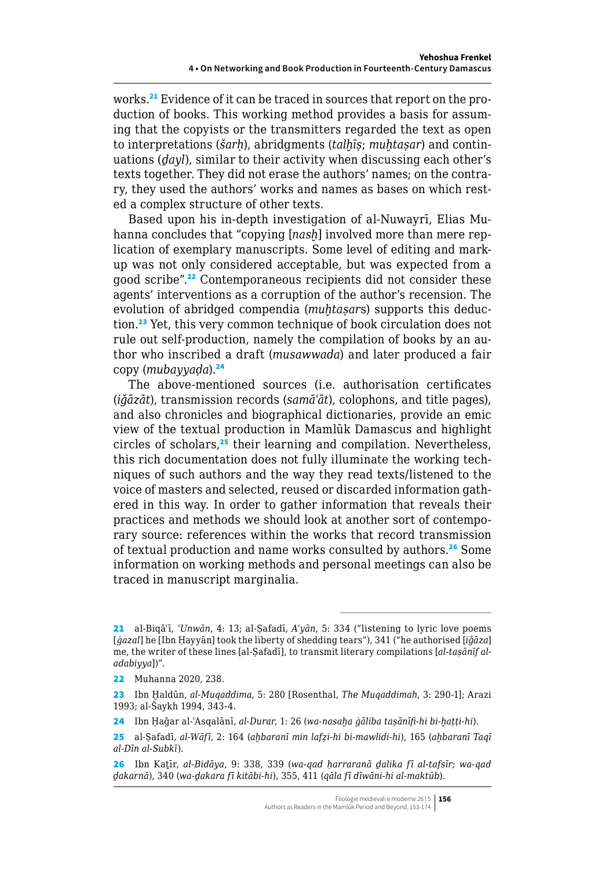works.<sup>21</sup> Evidence of it can be traced in sources that report on the production of books. This working method provides a basis for assuming that the copyists or the transmitters regarded the text as open to interpretations (*šarḥ*), abridgments (*talḫīṣ*; *muḫtaṣar*) and continuations (*ḏayl*), similar to their activity when discussing each other's texts together. They did not erase the authors' names; on the contrary, they used the authors' works and names as bases on which rested a complex structure of other texts.

Based upon his in-depth investigation of al-Nuwayrī, Elias Muhanna concludes that "copying [*nasḫ*]involved more than mere replication of exemplary manuscripts. Some level of editing and markup was not only considered acceptable, but was expected from a good scribe".<sup>22</sup> Contemporaneous recipients did not consider these agents' interventions as a corruption of the author's recension. The evolution of abridged compendia (*muḫtaṣar*s) supports this deduction.<sup>23</sup> Yet, this very common technique of book circulation does not rule out self-production, namely the compilation of books by an author who inscribed a draft (*musawwada*) and later produced a fair copy (*mubayyaḍa*).<sup>24</sup>

The above-mentioned sources (i.e. authorisation certificates (*iǧāzāt*), transmission records (*samāʿāt*), colophons, and title pages), and also chronicles and biographical dictionaries, provide an emic view of the textual production in Mamlūk Damascus and highlight circles of scholars, $25$  their learning and compilation. Nevertheless, this rich documentation does not fully illuminate the working techniques of such authors and the way they read texts/listened to the voice of masters and selected, reused or discarded information gathered in this way. In order to gather information that reveals their practices and methods we should look at another sort of contemporary source: references within the works that record transmission of textual production and name works consulted by authors.<sup>26</sup> Some information on working methods and personal meetings can also be traced in manuscript marginalia.

<sup>21</sup> al-Biqāʿī, *ʿUnwān*, 4: 13; al-Ṣafadī, *Aʿyān*, 5: 334 ("listening to lyric love poems [*ġazal*] he [Ibn Ḥayyān] took the liberty of shedding tears"), 341 ("he authorised [*iǧāza*] me, the writer of these lines [al-Ṣafadī], to transmit literary compilations [*al-taṣānīf aladabiyya*])".

<sup>22</sup> Muhanna 2020, 238.

<sup>23</sup> Ibn Ḫaldūn, *al-Muqaddima*, 5: 280 [Rosenthal, *The Muqaddimah*, 3: 290-1]; Arazi 1993; al-Šaykh 1994, 343-4.

<sup>24</sup> Ibn Ḥaǧar al-ʿAsqalānī, *al-Durar*, 1: 26 (*wa-nasaḫa ġāliba taṣānīfi-hi bi-ḫaṭṭi-hi*).

<sup>25</sup> al-Ṣafadī, *al-Wāfī*, 2: 164 (*aḫbaranī min lafẓi-hi bi-mawlidi-hi*), 165 (*aḫbaranī Taqī al-Dīn al-Subkī*).

<sup>26</sup> Ibn Kaṯīr, *al-Bidāya*, 9: 338, 339 (*wa-qad ḥarraranā ḏalika fī al-tafsīr; wa-qad ḏakarnā*), 340 (*wa-ḏakara fī kitābi-hi*), 355, 411 (*qāla fī dīwāni-hi al-maktūb*).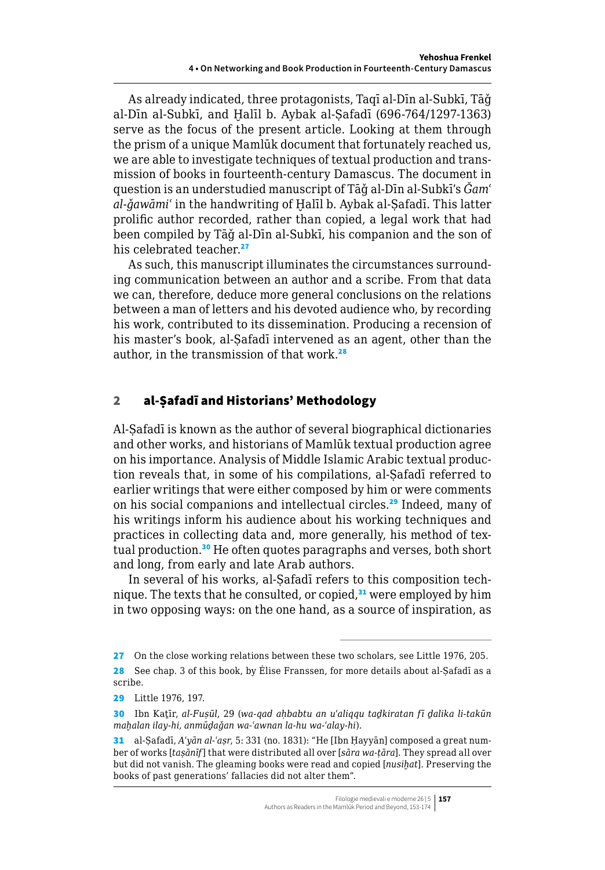As already indicated, three protagonists, Taqī al-Dīn al-Subkī, Tāǧ al-Dīn al-Subkī, and Ḫalīl b. Aybak al-Ṣafadī (696-764/1297-1363) serve as the focus of the present article. Looking at them through the prism of a unique Mamlūk document that fortunately reached us, we are able to investigate techniques of textual production and transmission of books in fourteenth-century Damascus. The document in question is an understudied manuscript of Tāǧ al-Dīn al-Subkī's *Ǧamʿ al-ǧawāmiʿ* in the handwriting of Ḫalīl b. Aybak al-Ṣafadī. This latter prolific author recorded, rather than copied, a legal work that had been compiled by Tāǧ al-Dīn al-Subkī, his companion and the son of his celebrated teacher.<sup>27</sup>

As such, this manuscript illuminates the circumstances surrounding communication between an author and a scribe. From that data we can, therefore, deduce more general conclusions on the relations between a man of letters and his devoted audience who, by recording his work, contributed to its dissemination. Producing a recension of his master's book, al-Safadī intervened as an agent, other than the author, in the transmission of that work.<sup>28</sup>

# 2 al-Ṣafadī and Historians' Methodology

Al-Ṣafadī is known as the author of several biographical dictionaries and other works, and historians of Mamlūk textual production agree on his importance. Analysis of Middle Islamic Arabic textual production reveals that, in some of his compilations, al-Ṣafadī referred to earlier writings that were either composed by him or were comments on his social companions and intellectual circles.<sup>29</sup> Indeed, many of his writings inform his audience about his working techniques and practices in collecting data and, more generally, his method of textual production.<sup>30</sup> He often quotes paragraphs and verses, both short and long, from early and late Arab authors.

In several of his works, al-Safadī refers to this composition technique. The texts that he consulted, or copied, $31$  were employed by him in two opposing ways: on the one hand, as a source of inspiration, as

<sup>27</sup> On the close working relations between these two scholars, see Little 1976, 205.

<sup>28</sup> See chap. 3 of this book, by Élise Franssen, for more details about al-Safadī as a scribe.

<sup>29</sup> Little 1976, 197.

<sup>30</sup> Ibn Kaṯīr, *al-Fuṣūl*, 29 (*wa-qad aḥbabtu an uʿaliqqu taḏkiratan fī ḏalika li-takūn maḫalan ilay-hi, anmūḏaǧan wa-ʿawnan la-hu wa-ʿalay-hi*).

<sup>31</sup> al-Ṣafadī, *Aʿyān al-ʿaṣr*, 5: 331 (no. 1831): "He [Ibn Ḥayyān] composed a great number of works [*taṣānīf*] that were distributed all over [*sāra wa-ṭāra*]. They spread all over but did not vanish. The gleaming books were read and copied [*nusiḫat*]. Preserving the books of past generations' fallacies did not alter them".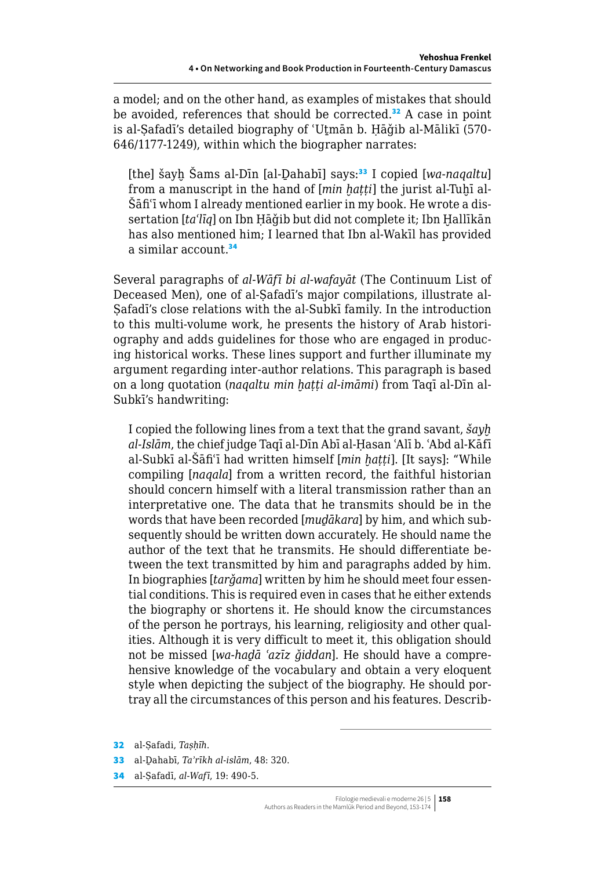a model; and on the other hand, as examples of mistakes that should be avoided, references that should be corrected.<sup>32</sup> A case in point is al-Ṣafadī's detailed biography of ʿUṯmān b. Ḥāǧib al-Mālikī (570- 646/1177-1249), within which the biographer narrates:

[the] šayḫ Šams al-Dīn [al-Ḏahabī] says:<sup>33</sup> I copied [*wa-naqaltu*] from a manuscript in the hand of [*min hatti*] the jurist al-Tuhī al-Šāfiʿī whom I already mentioned earlier in my book. He wrote a dissertation [*taʿlīq*] on Ibn Ḥāǧib but did not complete it; Ibn Ḫallīkān has also mentioned him; I learned that Ibn al-Wakīl has provided a similar account.<sup>34</sup>

Several paragraphs of *al-Wāfī bi al-wafayāt* (The Continuum List of Deceased Men), one of al-Ṣafadī's major compilations, illustrate al-Ṣafadī's close relations with the al-Subkī family. In the introduction to this multi-volume work, he presents the history of Arab historiography and adds guidelines for those who are engaged in producing historical works. These lines support and further illuminate my argument regarding inter-author relations. This paragraph is based on a long quotation (*naqaltu min ḫaṭṭi al-imāmi*) from Taqī al-Dīn al-Subkī's handwriting:

I copied the following lines from a text that the grand savant, *šayḫ al-Islām*, the chief judge Taqī al-Dīn Abī al-Ḥasan ʿAlī b. ʿAbd al-Kāfī al-Subkī al-Šāfiʿī had written himself [*min ḫaṭṭi*]. [It says]: "While compiling [*naqala*] from a written record, the faithful historian should concern himself with a literal transmission rather than an interpretative one. The data that he transmits should be in the words that have been recorded [*muḏākara*] by him, and which subsequently should be written down accurately. He should name the author of the text that he transmits. He should differentiate between the text transmitted by him and paragraphs added by him. In biographies [*tarǧama*] written by him he should meet four essential conditions. This is required even in cases that he either extends the biography or shortens it. He should know the circumstances of the person he portrays, his learning, religiosity and other qualities. Although it is very difficult to meet it, this obligation should not be missed [*wa-haḏā ʿazīz ǧiddan*]. He should have a comprehensive knowledge of the vocabulary and obtain a very eloquent style when depicting the subject of the biography. He should portray all the circumstances of this person and his features. Describ-

32 al-Ṣafadi, *Taṣḥīh*.

34 al-Ṣafadī, *al-Wafī*, 19: 490-5.

<sup>33</sup> al-Ḏahabī, *Taʾrīkh al-islām*, 48: 320.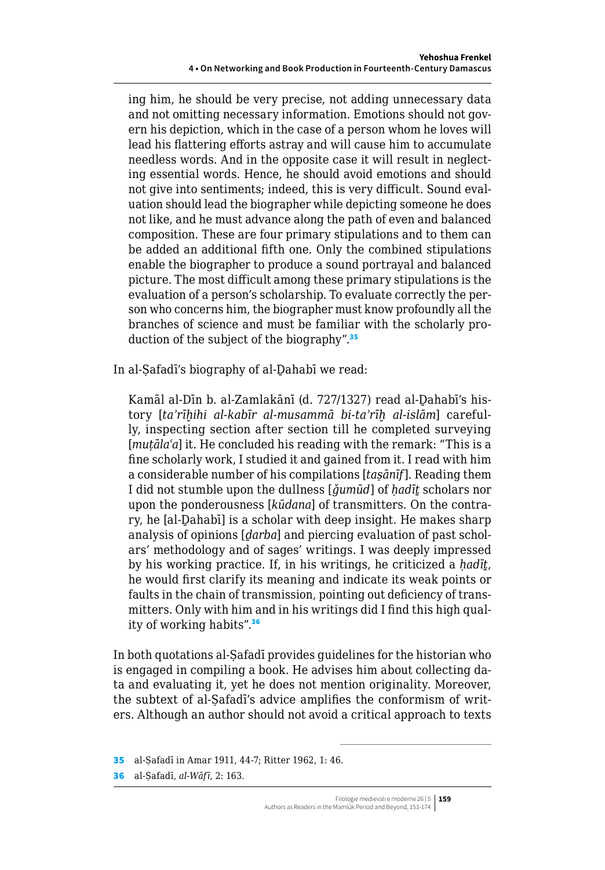ing him, he should be very precise, not adding unnecessary data and not omitting necessary information. Emotions should not govern his depiction, which in the case of a person whom he loves will lead his flattering efforts astray and will cause him to accumulate needless words. And in the opposite case it will result in neglecting essential words. Hence, he should avoid emotions and should not give into sentiments; indeed, this is very difficult. Sound evaluation should lead the biographer while depicting someone he does not like, and he must advance along the path of even and balanced composition. These are four primary stipulations and to them can be added an additional fifth one. Only the combined stipulations enable the biographer to produce a sound portrayal and balanced picture. The most difficult among these primary stipulations is the evaluation of a person's scholarship. To evaluate correctly the person who concerns him, the biographer must know profoundly all the branches of science and must be familiar with the scholarly production of the subject of the biography".<sup>35</sup>

In al-Ṣafadī's biography of al-Ḏahabī we read:

Kamāl al-Dīn b. al-Zamlakānī (d. 727/1327) read al-Ḏahabī's history [*taʾrīḫihi al-kabīr al-musammā bi-taʾrīḫ al-islām*] carefully, inspecting section after section till he completed surveying [*mutāla<sup>c</sup>a*] it. He concluded his reading with the remark: "This is a fine scholarly work, I studied it and gained from it. I read with him a considerable number of his compilations [*taṣānīf*]. Reading them I did not stumble upon the dullness [*ǧumūd*] of *ḥadīṯ* scholars nor upon the ponderousness [*kūdana*] of transmitters. On the contrary, he [al-Ḏahabī] is a scholar with deep insight. He makes sharp analysis of opinions [*ḏarba*] and piercing evaluation of past scholars' methodology and of sages' writings. I was deeply impressed by his working practice. If, in his writings, he criticized a *ḥadīṯ*, he would first clarify its meaning and indicate its weak points or faults in the chain of transmission, pointing out deficiency of transmitters. Only with him and in his writings did I find this high quality of working habits".<sup>36</sup>

In both quotations al-Ṣafadī provides guidelines for the historian who is engaged in compiling a book. He advises him about collecting data and evaluating it, yet he does not mention originality. Moreover, the subtext of al-Ṣafadī's advice amplifies the conformism of writers. Although an author should not avoid a critical approach to texts

<sup>35</sup> al-Ṣafadī in Amar 1911, 44-7; Ritter 1962, 1: 46.

<sup>36</sup> al-Ṣafadī, *al-Wāfī*, 2: 163.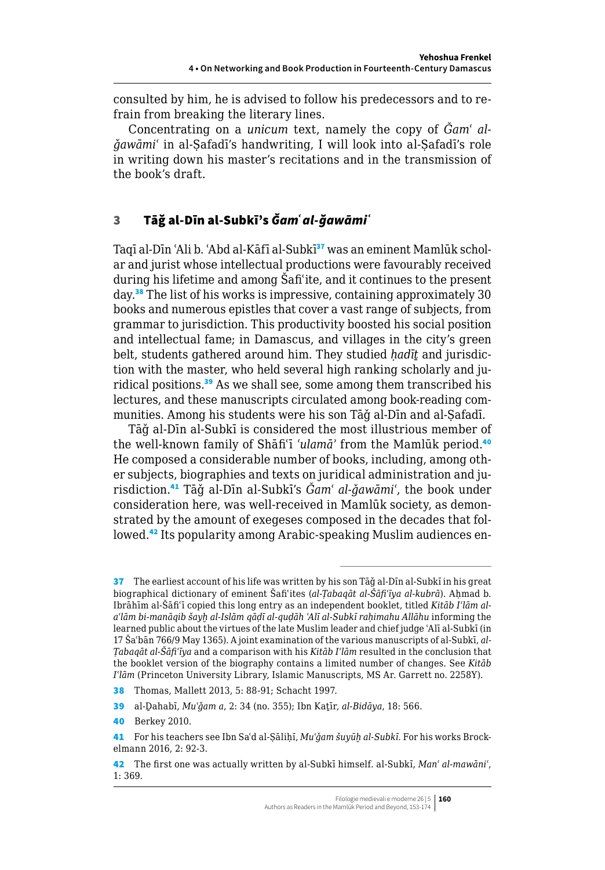consulted by him, he is advised to follow his predecessors and to refrain from breaking the literary lines.

Concentrating on a *unicum* text, namely the copy of  $\check{G}$ *am' alǧawāmiʿ* in al-Ṣafadī's handwriting, I will look into al-Ṣafadī's role in writing down his master's recitations and in the transmission of the book's draft.

# 3 Tāǧ al-Dīn al-Subkī's *Ǧamʿ al-ǧawāmiʿ*

Taqī al-Dīn 'Ali b. 'Abd al-Kāfī al-Subkī<sup>37</sup> was an eminent Mamlūk scholar and jurist whose intellectual productions were favourably received during his lifetime and among Šafiʿite, and it continues to the present day.<sup>38</sup> The list of his works is impressive, containing approximately 30 books and numerous epistles that cover a vast range of subjects, from grammar to jurisdiction. This productivity boosted his social position and intellectual fame; in Damascus, and villages in the city's green belt, students gathered around him. They studied *ḥadīṯ* and jurisdiction with the master, who held several high ranking scholarly and juridical positions.<sup>39</sup> As we shall see, some among them transcribed his lectures, and these manuscripts circulated among book-reading communities. Among his students were his son Tāǧ al-Dīn and al-Ṣafadī.

Tāǧ al-Dīn al-Subkī is considered the most illustrious member of the well-known family of Shāfiʿī *ʿulamāʾ* from the Mamlūk period.<sup>40</sup> He composed a considerable number of books, including, among other subjects, biographies and texts on juridical administration and jurisdiction.<sup>41</sup> Tāǧ al-Dīn al-Subkī's *Ǧamʿ al-ǧawāmiʿ*, the book under consideration here, was well-received in Mamlūk society, as demonstrated by the amount of exegeses composed in the decades that followed.42 Its popularity among Arabic-speaking Muslim audiences en-

<sup>37</sup> The earliest account of his life was written by his son Tağ al-Dīn al-Subkī in his great biographical dictionary of eminent Šafiʿites (*al-Ṭabaqāt al-Šāfiʿīya al-kubrā*). Aḥmad b. Ibrāhīm al-Šāfiʿī copied this long entry as an independent booklet, titled *Kitāb Iʿlām alaʿlām bi-manāqib šayḫ al-Islām qāḍī al-quḍāh ʿAlī al-Subkī raḥimahu Allāhu* informing the learned public about the virtues of the late Muslim leader and chief judge ʿAlī al-Subkī (in 17 Šaʿbān 766/9 May 1365). A joint examination of the various manuscripts of al-Subkī, *al-Ṭabaqāt al-Šāfiʿīya* and a comparison with his *Kitāb Iʿlām* resulted in the conclusion that the booklet version of the biography contains a limited number of changes. See *Kitāb Iʿlām* (Princeton University Library, Islamic Manuscripts, MS Ar. Garrett no. 2258Y).

<sup>38</sup> Thomas, Mallett 2013, 5: 88-91; Schacht 1997.

<sup>39</sup> al-Ḏahabī, *Muʿǧam a*, 2: 34 (no. 355); Ibn Kaṯīr, *al-Bidāya*, 18: 566.

<sup>40</sup> Berkey 2010.

<sup>41</sup> For his teachers see Ibn Saʿd al-Ṣāliḥī, *Muʿǧam šuyūḫ al-Subkī*. For his works Brockelmann 2016, 2: 92-3.

<sup>42</sup> The first one was actually written by al-Subkī himself. al-Subkī, *Manʿ al-mawāniʿ*, 1: 369.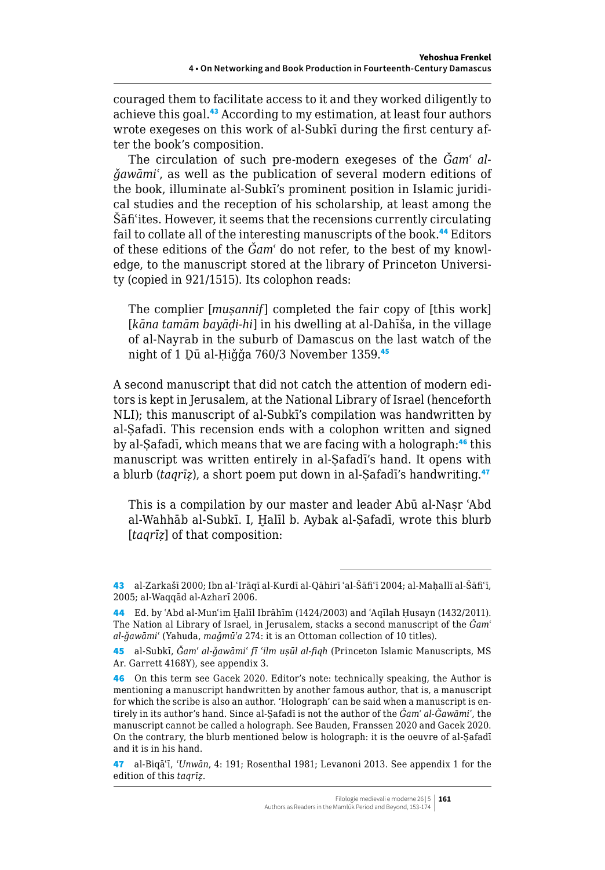couraged them to facilitate access to it and they worked diligently to achieve this goal.<sup>43</sup> According to my estimation, at least four authors wrote exegeses on this work of al-Subkī during the first century after the book's composition.

The circulation of such pre-modern exegeses of the *Ǧamʿ alǧawāmiʿ*, as well as the publication of several modern editions of the book, illuminate al-Subkī's prominent position in Islamic juridical studies and the reception of his scholarship, at least among the Šāfiʿites. However, it seems that the recensions currently circulating fail to collate all of the interesting manuscripts of the book.<sup>44</sup> Editors of these editions of the *Ǧamʿ* do not refer, to the best of my knowledge, to the manuscript stored at the library of Princeton University (copied in 921/1515). Its colophon reads:

The complier [*muṣannif*] completed the fair copy of [this work] [*kāna tamām bayāḍi-hi*] in his dwelling at al-Dahīša, in the village of al-Nayrab in the suburb of Damascus on the last watch of the night of 1 Dū al-Ḥiǧǧa 760/3 November 1359.45

A second manuscript that did not catch the attention of modern editors is kept in Jerusalem, at the National Library of Israel (henceforth NLI); this manuscript of al-Subkī's compilation was handwritten by al-Ṣafadī. This recension ends with a colophon written and signed by al-Safadī, which means that we are facing with a holograph:<sup>46</sup> this manuscript was written entirely in al-Ṣafadī's hand. It opens with a blurb (*taqrīz*), a short poem put down in al-Safadī's handwriting.<sup>47</sup>

This is a compilation by our master and leader Abū al-Naṣr ʿAbd al-Wahhāb al-Subkī. I, Ḫalīl b. Aybak al-Ṣafadī, wrote this blurb [*taqrīz*] of that composition:

<sup>43</sup> al-Zarkašī 2000; Ibn al-ʿIrāqī al-Kurdī al-Qāhirī ʿal-Šāfiʿī 2004; al-Maḥallī al-Šāfiʿī, 2005; al-Waqqād al-Azharī 2006.

<sup>44</sup> Ed. by ʿAbd al-Munʿim Ḫalīl Ibrāhīm (1424/2003) and ʿAqīlah Ḥusayn (1432/2011). The Nation al Library of Israel, in Jerusalem, stacks a second manuscript of the *Ǧamʿ al-ǧawāmiʿ* (Yahuda, *maǧmūʿa* 274: it is an Ottoman collection of 10 titles).

<sup>45</sup> al-Subkī, *Ǧamʿ al-ǧawāmiʿ fī ʿilm uṣūl al-fiqh* (Princeton Islamic Manuscripts, MS Ar. Garrett 4168Y), see appendix 3.

<sup>46</sup> On this term see Gacek 2020. Editor's note: technically speaking, the Author is mentioning a manuscript handwritten by another famous author, that is, a manuscript for which the scribe is also an author. 'Holograph' can be said when a manuscript is entirely in its author's hand. Since al-Ṣafadī is not the author of the *Ǧamʿ al-Ǧawāmiʿ*, the manuscript cannot be called a holograph. See Bauden, Franssen 2020 and Gacek 2020. On the contrary, the blurb mentioned below is holograph: it is the oeuvre of al-Safadī and it is in his hand.

<sup>47</sup> al-Biqāʿī, *ʿUnwān*, 4: 191; Rosenthal 1981; Levanoni 2013. See appendix 1 for the edition of this *taqrīẓ*.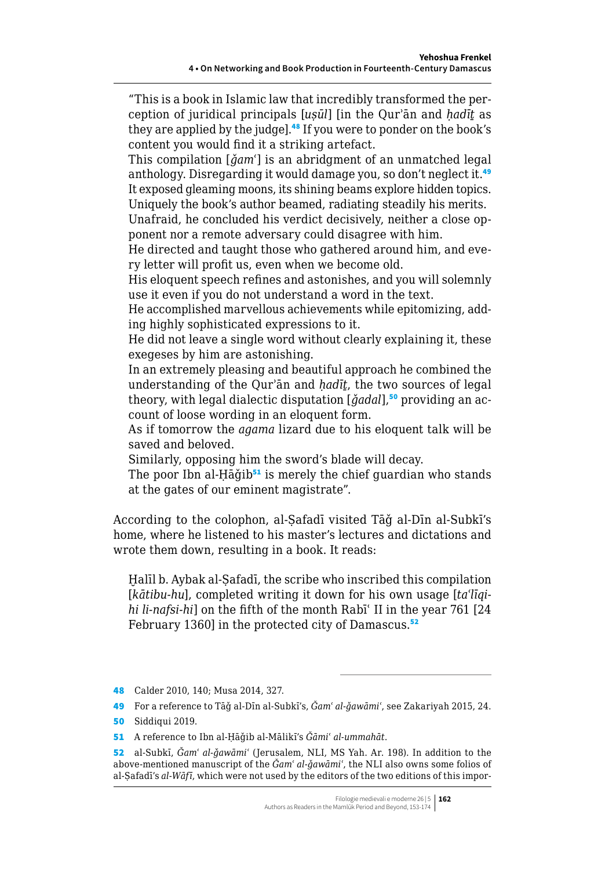"This is a book in Islamic law that incredibly transformed the perception of juridical principals [*uṣūl*] [in the Qurʾān and *ḥadīṯ* as they are applied by the judge].<sup>48</sup> If you were to ponder on the book's content you would find it a striking artefact.

This compilation [*ǧamʿ*] is an abridgment of an unmatched legal anthology. Disregarding it would damage you, so don't neglect it.<sup>49</sup> It exposed gleaming moons, its shining beams explore hidden topics.

Uniquely the book's author beamed, radiating steadily his merits.

Unafraid, he concluded his verdict decisively, neither a close opponent nor a remote adversary could disagree with him.

He directed and taught those who gathered around him, and every letter will profit us, even when we become old.

His eloquent speech refines and astonishes, and you will solemnly use it even if you do not understand a word in the text.

He accomplished marvellous achievements while epitomizing, adding highly sophisticated expressions to it.

He did not leave a single word without clearly explaining it, these exegeses by him are astonishing.

In an extremely pleasing and beautiful approach he combined the understanding of the Qurʾān and *ḥadīṯ*, the two sources of legal theory, with legal dialectic disputation [*ǧadal*],<sup>50</sup> providing an account of loose wording in an eloquent form.

As if tomorrow the *agama* lizard due to his eloquent talk will be saved and beloved.

Similarly, opposing him the sword's blade will decay.

The poor Ibn al-Ḥāǧib<sup>51</sup> is merely the chief guardian who stands at the gates of our eminent magistrate".

According to the colophon, al-Ṣafadī visited Tāǧ al-Dīn al-Subkī's home, where he listened to his master's lectures and dictations and wrote them down, resulting in a book. It reads:

Halīl b. Aybak al-Safadī, the scribe who inscribed this compilation [*kātibu-hu*], completed writing it down for his own usage [*taʿlīqihi li-nafsi-hi*] on the fifth of the month Rabīʿ II in the year 761 [24 February 1360] in the protected city of Damascus.<sup>52</sup>

<sup>48</sup> Calder 2010, 140; Musa 2014, 327.

<sup>49</sup> For a reference to Tāǧ al-Dīn al-Subkī's, *Ǧamʿ al-ǧawāmiʿ*, see Zakariyah 2015, 24.

<sup>50</sup> Siddiqui 2019.

<sup>51</sup> A reference to Ibn al-Ḥāǧib al-Mālikī's *Ǧāmiʿ al-ummahāt*.

<sup>52</sup> al-Subkī, *Ǧamʿ al-ǧawāmiʿ* (Jerusalem, NLI, MS Yah. Ar. 198). In addition to the above-mentioned manuscript of the *Ǧamʿ al-ǧawāmiʿ*, the NLI also owns some folios of al-Ṣafadī's *al-Wāfī*, which were not used by the editors of the two editions of this impor-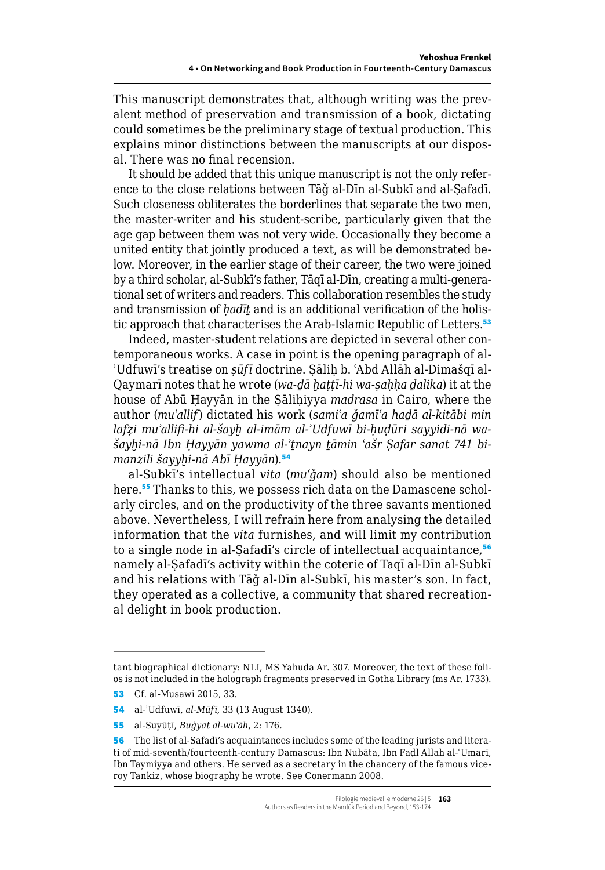This manuscript demonstrates that, although writing was the prevalent method of preservation and transmission of a book, dictating could sometimes be the preliminary stage of textual production. This explains minor distinctions between the manuscripts at our disposal. There was no final recension.

It should be added that this unique manuscript is not the only reference to the close relations between Tāǧ al-Dīn al-Subkī and al-Ṣafadī. Such closeness obliterates the borderlines that separate the two men, the master-writer and his student-scribe, particularly given that the age gap between them was not very wide. Occasionally they become a united entity that jointly produced a text, as will be demonstrated below. Moreover, in the earlier stage of their career, the two were joined by a third scholar, al-Subkī's father, Tāqī al-Dīn, creating a multi-generational set of writers and readers. This collaboration resembles the study and transmission of *ḥadīṯ* and is an additional verification of the holistic approach that characterises the Arab-Islamic Republic of Letters.<sup>53</sup>

Indeed, master-student relations are depicted in several other contemporaneous works. A case in point is the opening paragraph of al-ʾUdfuwī's treatise on *ṣūfī* doctrine. Ṣāliḥ b. ʿAbd Allāh al-Dimašqī al-Qaymarī notes that he wrote (*wa-ḏā ḫaṭṭī-hi wa-ṣaḥḥa ḏalika*) it at the house of Abū Ḥayyān in the Ṣāliḥiyya *madrasa* in Cairo, where the author (*muʾallif*) dictated his work (*samiʿa ǧamīʿa haḏā al-kitābi min lafẓi muʾallifi-hi al-šayḫ al-imām al-ʾUdfuwī bi-ḥuḍūri sayyidi-nā wašayḫi-nā Ibn Ḥayyān yawma al-ʾṯnayn ṯāmin ʿašr Ṣafar sanat 741 bimanzili šayyḫi-nā Abī Ḥayyān*).<sup>54</sup>

al-Subkī's intellectual *vita* (*muʿǧam*) should also be mentioned here.<sup>55</sup> Thanks to this, we possess rich data on the Damascene scholarly circles, and on the productivity of the three savants mentioned above. Nevertheless, I will refrain here from analysing the detailed information that the *vita* furnishes, and will limit my contribution to a single node in al-Safadī's circle of intellectual acquaintance,<sup>56</sup> namely al-Ṣafadī's activity within the coterie of Taqī al-Dīn al-Subkī and his relations with Tāǧ al-Dīn al-Subkī, his master's son. In fact, they operated as a collective, a community that shared recreational delight in book production.

tant biographical dictionary: NLI, MS Yahuda Ar. 307. Moreover, the text of these folios is not included in the holograph fragments preserved in Gotha Library (ms Ar. 1733).

<sup>53</sup> Cf. al-Musawi 2015, 33.

<sup>54</sup> al-ʾUdfuwī, *al-Mūfī*, 33 (13 August 1340).

<sup>55</sup> al-Suyūṭī, *Buġyat al-wuʿāh*, 2: 176.

<sup>56</sup> The list of al-Safadī's acquaintances includes some of the leading jurists and literati of mid-seventh/fourteenth-century Damascus: Ibn Nubāta, Ibn Faḍl Allah al-ʿUmarī, Ibn Taymiyya and others. He served as a secretary in the chancery of the famous viceroy Tankiz, whose biography he wrote. See Conermann 2008.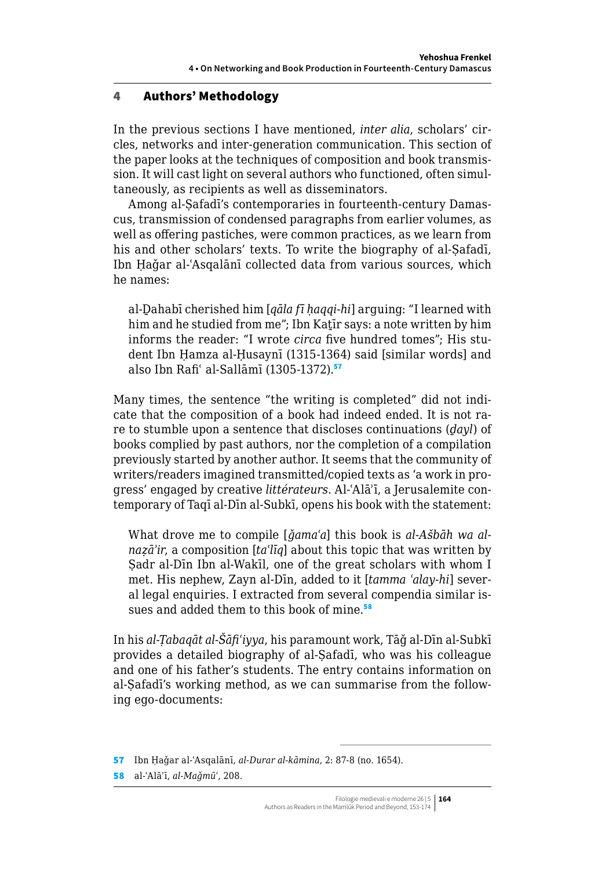## 4 Authors' Methodology

In the previous sections I have mentioned, *inter alia*, scholars' circles, networks and inter-generation communication. This section of the paper looks at the techniques of composition and book transmission. It will cast light on several authors who functioned, often simultaneously, as recipients as well as disseminators.

Among al-Ṣafadī's contemporaries in fourteenth-century Damascus, transmission of condensed paragraphs from earlier volumes, as well as offering pastiches, were common practices, as we learn from his and other scholars' texts. To write the biography of al-Safadī, Ibn Ḥaǧar al-ʿAsqalānī collected data from various sources, which he names:

al-Ḏahabī cherished him [*qāla fī ḥaqqi-hi*] arguing: "I learned with him and he studied from me"; Ibn Katīr says: a note written by him informs the reader: "I wrote *circa* five hundred tomes"; His student Ibn Ḥamza al-Ḥusaynī (1315-1364) said [similar words] and also Ibn Rafi' al-Sallāmī (1305-1372).<sup>57</sup>

Many times, the sentence "the writing is completed" did not indicate that the composition of a book had indeed ended. It is not rare to stumble upon a sentence that discloses continuations (*ḏayl*) of books complied by past authors, nor the completion of a compilation previously started by another author. It seems that the community of writers/readers imagined transmitted/copied texts as 'a work in progress' engaged by creative *littérateurs*. Al-ʿAlāʾī, a Jerusalemite contemporary of Taqī al-Dīn al-Subkī, opens his book with the statement:

What drove me to compile [*ǧamaʿa*] this book is *al-Ašbāh wa alnaẓāʾir*, a composition [*taʿlīq*] about this topic that was written by Sadr al-Dīn Ibn al-Wakīl, one of the great scholars with whom I met. His nephew, Zayn al-Dīn, added to it [*tamma ʿalay-hi*] several legal enquiries. I extracted from several compendia similar issues and added them to this book of mine.<sup>58</sup>

In his *al-Ṭabaqāt al-Šāfiʿiyya*, his paramount work, Tāǧ al-Dīn al-Subkī provides a detailed biography of al-Ṣafadī, who was his colleague and one of his father's students. The entry contains information on al-Ṣafadī's working method, as we can summarise from the following ego-documents:

57 Ibn Ḥaǧar al-ʿAsqalānī, *al-Durar al-kāmina*, 2: 87-8 (no. 1654).

58 al-ʿAlāʾī, *al-Maǧmūʿ*, 208.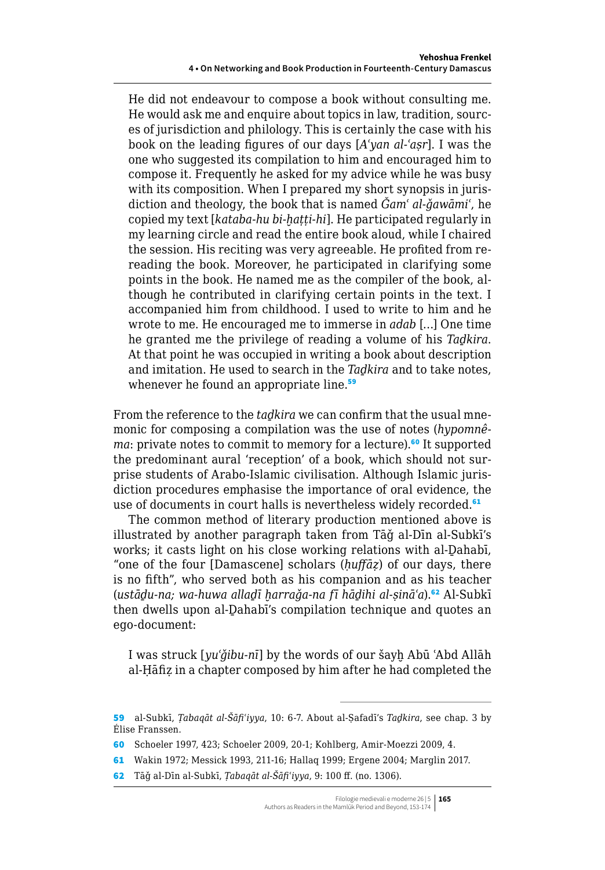He did not endeavour to compose a book without consulting me. He would ask me and enquire about topics in law, tradition, sources of jurisdiction and philology. This is certainly the case with his book on the leading figures of our days [*Aʿyan al-ʿaṣr*]. I was the one who suggested its compilation to him and encouraged him to compose it. Frequently he asked for my advice while he was busy with its composition. When I prepared my short synopsis in jurisdiction and theology, the book that is named *Ǧamʿ al-ǧawāmiʿ*, he copied my text [*kataba-hu bi-ḫaṭṭi-hi*]. He participated regularly in my learning circle and read the entire book aloud, while I chaired the session. His reciting was very agreeable. He profited from rereading the book. Moreover, he participated in clarifying some points in the book. He named me as the compiler of the book, although he contributed in clarifying certain points in the text. I accompanied him from childhood. I used to write to him and he wrote to me. He encouraged me to immerse in *adab* […] One time he granted me the privilege of reading a volume of his *Taḏkira*. At that point he was occupied in writing a book about description and imitation. He used to search in the *Taḏkira* and to take notes, whenever he found an appropriate line.<sup>59</sup>

From the reference to the *taḏkira* we can confirm that the usual mnemonic for composing a compilation was the use of notes (*hypomnêma*: private notes to commit to memory for a lecture).<sup>60</sup> It supported the predominant aural 'reception' of a book, which should not surprise students of Arabo-Islamic civilisation. Although Islamic jurisdiction procedures emphasise the importance of oral evidence, the use of documents in court halls is nevertheless widely recorded.<sup>61</sup>

The common method of literary production mentioned above is illustrated by another paragraph taken from Tāǧ al-Dīn al-Subkī's works; it casts light on his close working relations with al-Ḏahabī, "one of the four [Damascene] scholars (*ḥuffāẓ*) of our days, there is no fifth", who served both as his companion and as his teacher (*ustāḏu-na; wa-huwa allaḏī ḫarraǧa-na fī hāḏihi al-ṣināʿa*).<sup>62</sup> Al-Subkī then dwells upon al-Ḏahabī's compilation technique and quotes an ego-document:

I was struck [*yuʿǧibu-nī*] by the words of our šayḫ Abū ʿAbd Allāh al-Ḥāfiẓ in a chapter composed by him after he had completed the

<sup>59</sup> al-Subkī, *Ṭabaqāt al-Šāfiʿiyya*, 10: 6-7. About al-Ṣafadī's *Taḏkira*, see chap. 3 by Élise Franssen.

<sup>60</sup> Schoeler 1997, 423; Schoeler 2009, 20-1; Kohlberg, Amir-Moezzi 2009, 4.

<sup>61</sup> Wakin 1972; Messick 1993, 211-16; Hallaq 1999; Ergene 2004; Marglin 2017.

<sup>62</sup> Tāǧ al-Dīn al-Subkī, *Ṭabaqāt al-Šāfiʿiyya*, 9: 100 ff. (no. 1306).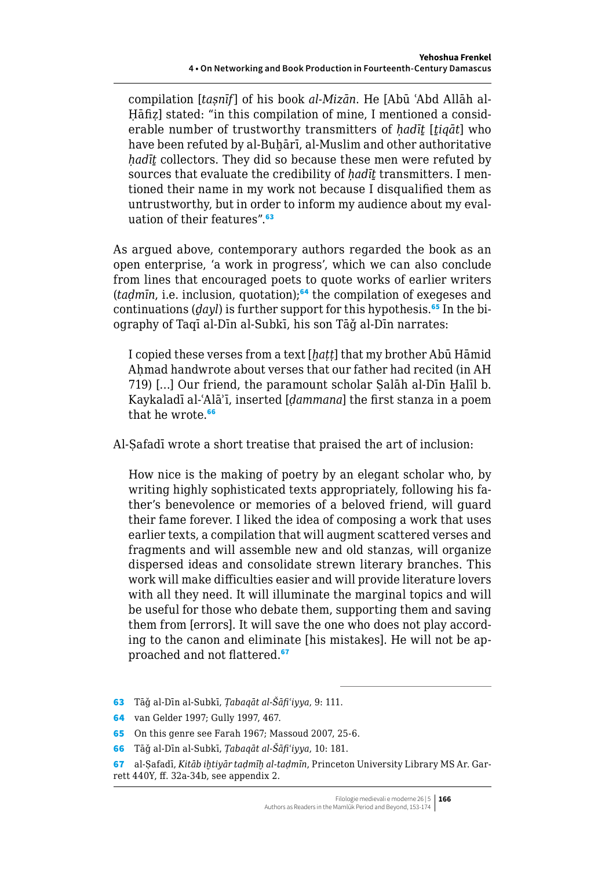compilation [*taṣnīf*] of his book *al-Mizān*. He [Abū ʿAbd Allāh al-Hāfiz] stated: "in this compilation of mine, I mentioned a considerable number of trustworthy transmitters of *ḥadīṯ* [*ṯiqāt*] who have been refuted by al-Buhārī, al-Muslim and other authoritative *ḥadīṯ* collectors. They did so because these men were refuted by sources that evaluate the credibility of *hadīt* transmitters. I mentioned their name in my work not because I disqualified them as untrustworthy, but in order to inform my audience about my evaluation of their features".<sup>63</sup>

As argued above, contemporary authors regarded the book as an open enterprise, 'a work in progress', which we can also conclude from lines that encouraged poets to quote works of earlier writers (*taḍmīn*, i.e. inclusion, quotation);<sup>64</sup> the compilation of exegeses and continuations (*dayl*) is further support for this hypothesis.<sup>65</sup> In the biography of Taqī al-Dīn al-Subkī, his son Tāǧ al-Dīn narrates:

I copied these verses from a text [*ḫaṭṭ*] that my brother Abū Hāmid Ahmad handwrote about verses that our father had recited (in AH 719) […] Our friend, the paramount scholar Ṣalāh al-Dīn Ḫalīl b. Kaykaladī al-ʿAlāʾī, inserted [*ḍammana*] the first stanza in a poem that he wrote.<sup>66</sup>

Al-Ṣafadī wrote a short treatise that praised the art of inclusion:

How nice is the making of poetry by an elegant scholar who, by writing highly sophisticated texts appropriately, following his father's benevolence or memories of a beloved friend, will guard their fame forever. I liked the idea of composing a work that uses earlier texts, a compilation that will augment scattered verses and fragments and will assemble new and old stanzas, will organize dispersed ideas and consolidate strewn literary branches. This work will make difficulties easier and will provide literature lovers with all they need. It will illuminate the marginal topics and will be useful for those who debate them, supporting them and saving them from [errors]. It will save the one who does not play according to the canon and eliminate [his mistakes]. He will not be approached and not flattered.<sup>67</sup>

- 63 Tāǧ al-Dīn al-Subkī, *Ṭabaqāt al-Šāfiʿiyya*, 9: 111.
- 64 van Gelder 1997; Gully 1997, 467.
- 65 On this genre see Farah 1967; Massoud 2007, 25-6.
- 66 Tāǧ al-Dīn al-Subkī, *Ṭabaqāt al-Šāfiʿiyya*, 10: 181.

<sup>67</sup> al-Ṣafadī, *Kitāb iḫtiyār taḍmīḫ al-taḍmīn*, Princeton University Library MS Ar. Garrett 440Y, ff. 32a-34b, see appendix 2.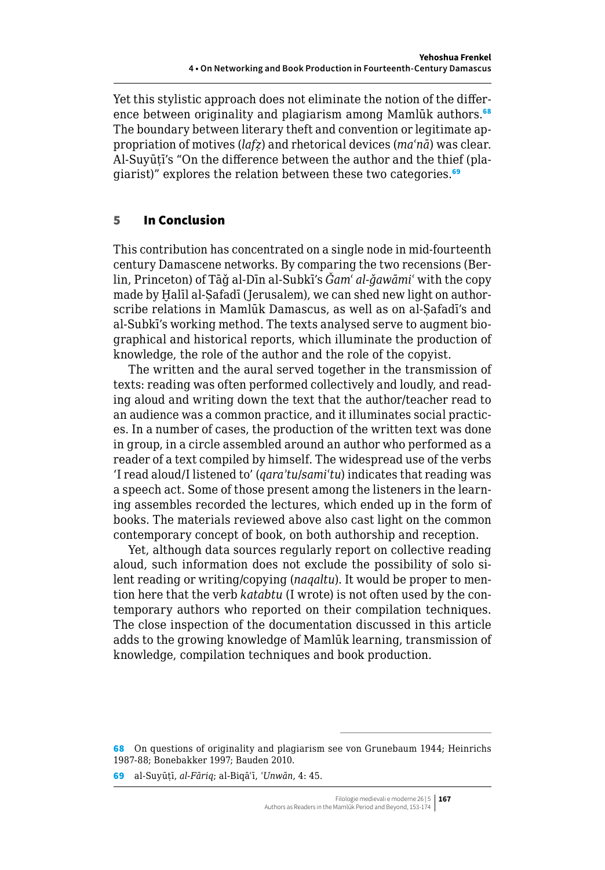Yet this stylistic approach does not eliminate the notion of the difference between originality and plagiarism among Mamlūk authors.<sup>68</sup> The boundary between literary theft and convention or legitimate appropriation of motives (*lafẓ*) and rhetorical devices (*maʿnā*) was clear. Al-Suyūṭī's "On the difference between the author and the thief (plagiarist)" explores the relation between these two categories.<sup>69</sup>

# 5 In Conclusion

This contribution has concentrated on a single node in mid-fourteenth century Damascene networks. By comparing the two recensions (Berlin, Princeton) of Tāǧ al-Dīn al-Subkī's *Ǧamʿ al-ǧawāmiʿ* with the copy made by Halīl al-Safadī (Jerusalem), we can shed new light on authorscribe relations in Mamlūk Damascus, as well as on al-Safadī's and al-Subkī's working method. The texts analysed serve to augment biographical and historical reports, which illuminate the production of knowledge, the role of the author and the role of the copyist.

The written and the aural served together in the transmission of texts: reading was often performed collectively and loudly, and reading aloud and writing down the text that the author/teacher read to an audience was a common practice, and it illuminates social practices. In a number of cases, the production of the written text was done in group, in a circle assembled around an author who performed as a reader of a text compiled by himself. The widespread use of the verbs 'I read aloud/I listened to' (*qaraʾtu*/*samiʿtu*) indicates that reading was a speech act. Some of those present among the listeners in the learning assembles recorded the lectures, which ended up in the form of books. The materials reviewed above also cast light on the common contemporary concept of book, on both authorship and reception.

Yet, although data sources regularly report on collective reading aloud, such information does not exclude the possibility of solo silent reading or writing/copying (*naqaltu*). It would be proper to mention here that the verb *katabtu* (I wrote) is not often used by the contemporary authors who reported on their compilation techniques. The close inspection of the documentation discussed in this article adds to the growing knowledge of Mamlūk learning, transmission of knowledge, compilation techniques and book production.

<sup>68</sup> On questions of originality and plagiarism see von Grunebaum 1944; Heinrichs 1987-88; Bonebakker 1997; Bauden 2010.

<sup>69</sup> al-Suyūṭī, *al-Fāriq*; al-Biqāʿī, *ʿUnwān*, 4: 45.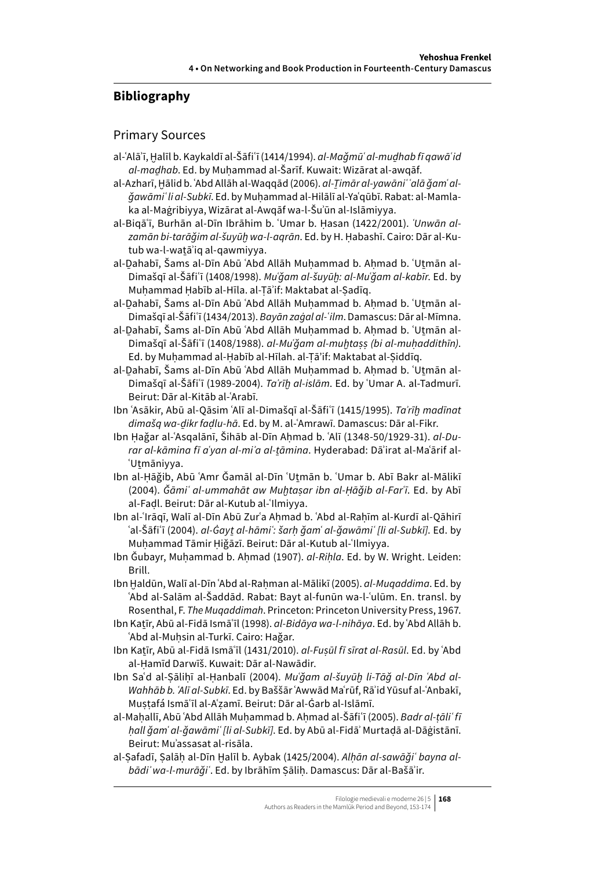# **Bibliography**

### Primary Sources

- al-ʿAlāʾī, Ḫalīl b. Kaykaldī al-Šāfiʿī (1414/1994). *al-Maǧmūʿ al-muḏhab fī qawāʿid al-maḏhab*. Ed. by Muḥammad al-Šarīf. Kuwait: Wizārat al-awqāf.
- al-Azharī, Hālid b. ʿAbd Allāh al-Waqqād (2006). *al-Timār al-yawāni* ʿalā ǧamʿ al*ǧawāmiʿ li al-Subkī*. Ed. by Muḥammad al-Hilālī al-Yaʿqūbī. Rabat: al-Mamlaka al-Maġribiyya, Wizārat al-Awqāf wa-l-Šuʾūn al-Islāmiyya.
- al-Biqāʿī, Burhān al-Dīn Ibrāhim b. ʿUmar b. Ḥasan (1422/2001). *ʿUnwān alzamān bi-tarāǧim al-šuyūḫ wa-l-aqrān*. Ed. by H. Ḥabashī. Cairo: Dār al-Kutub wa-l-watā'iq al-qawmiyya.
- al-Dahabī, Šams al-Dīn Abū ʿAbd Allāh Muhammad b. Ahmad b. ʿUtmān al-Dimašqī al-Šāfiʿī (1408/1998). *Muʿǧam al-šuyūḫ: al-Muʿǧam al-kabīr*. Ed. by Muhammad Habīb al-Hīla. al-Tā'if: Maktabat al-Sadīq.
- al-Dahabī, Šams al-Dīn Abū ʿAbd Allāh Muhammad b. Ahmad b. ʿUtmān al-Dimašqī al-Šāfiʿī (1434/2013). *Bayān zaġal al-ʿilm*. Damascus: Dār al-Mīmna.
- al-Dahabī, Šams al-Dīn Abū ʿAbd Allāh Muhammad b. Ahmad b. ʿUtmān al-Dimašqī al-Šāfiʿī (1408/1988). *al-Muʿǧam al-muḫtaṣṣ (bi al-muḥaddithīn)*. Ed. by Muhammad al-Habīb al-Hīlah. al-Tā'if: Maktabat al-Siddīg.
- al-Dahabī, Šams al-Dīn Abū ʿAbd Allāh Muhammad b. Ahmad b. ʿUtmān al-Dimašqī al-Šāfiʿī (1989-2004). *Taʾrīḫ al-islām*. Ed. by ʿUmar A. al-Tadmurī. Beirut: Dār al-Kitāb al-ʿArabī.
- Ibn ʿAsākir, Abū al-Qāsim ʿAlī al-Dimašqī al-Šāfiʿī (1415/1995). *Taʾrīḫ madīnat dimašq wa-ḏikr faḍlu-hā*. Ed. by M. al-ʿAmrawī. Damascus: Dār al-Fikr.
- Ibn Ḥaǧar al-ʿAsqalānī, Šihāb al-Dīn Aḥmad b. ʿAlī (1348-50/1929-31). *al-Durar al-kāmina fī aʿyan al-miʾa al-ṯāmina*. Hyderabad: Dāʾirat al-Maʿārif al-ʿUṯmāniyya.
- Ibn al-Ḥāǧib, Abū ʿAmr Ǧamāl al-Dīn ʿUṯmān b. ʿUmar b. Abī Bakr al-Mālikī (2004). *Ǧāmiʿ al-ummahāt aw Muḫtaṣar ibn al-Ḥāǧib al-Farʿī*. Ed. by Abī al-Faḍl. Beirut: Dār al-Kutub al-ʿIlmiyya.
- Ibn al-ʿIrāqī, Walī al-Dīn Abū Zurʿa Aḥmad b. ʿAbd al-Raḥīm al-Kurdī al-Qāhirī ʿal-Šāfiʿī (2004). *al-Ġayṯ al-hāmiʿ: šarḥ ǧamʿ al-ǧawāmiʿ [li al-Subkī]*. Ed. by Muhammad Tāmir Hiğāzī. Beirut: Dār al-Kutub al-ʿIlmiyya.
- Ibn Ǧubayr, Muḥammad b. Aḥmad (1907). *al-Riḥla*. Ed. by W. Wright. Leiden: Brill.
- Ibn Ḫaldūn, Walī al-Dīn ʿAbd al-Raḥman al-Mālikī (2005). *al-Muqaddima*. Ed. by ʿAbd al-Salām al-Šaddād. Rabat: Bayt al-funūn wa-l-ʿulūm. En. transl. by Rosenthal, F. *The Muqaddimah*. Princeton: Princeton University Press, 1967.
- Ibn Kaṯīr, Abū al-Fidā Ismāʿīl (1998). *al-Bidāya wa-l-nihāya*. Ed. by ʿAbd Allāh b. ʿAbd al-Muḥsin al-Turkī. Cairo: Haǧar.
- Ibn Kaṯīr, Abū al-Fidā Ismāʿīl (1431/2010). *al-Fuṣūl fī sīrat al-Rasūl*. Ed. by ʿAbd al-Ḥamīd Darwīš. Kuwait: Dār al-Nawādir.
- Ibn Sa'd al-Sālihī al-Hanbalī (2004). *Mu'ğam al-šuyūḫ li-Tāğ al-Dīn 'Abd al-Wahhāb b. ʿAlī al-Subkī*. Ed. by Baššār ʿAwwād Maʿrūf, Rāʾid Yūsuf al-ʿAnbakī, Muṣṭafá Ismāʿīl al-Aʿẓamī. Beirut: Dār al-Ġarb al-Islāmī.
- al-Mahallī, Abū ʿAbd Allāh Muhammad b. Ahmad al-Šāfiʿī (2005). *Badr al-tāliʿ fī ḥall ǧamʿ al-ǧawāmiʿ [li al-Subkī]*. Ed. by Abū al-Fidāʾ Murtaḍā al-Dāġistānī. Beirut: Muʾassasat al-risāla.
- al-Ṣafadī, Ṣalāḥ al-Dīn Ḫalīl b. Aybak (1425/2004). *Alḥān al-sawāǧiʿ bayna albādiʾ wa-l-murāǧiʿ*. Ed. by Ibrāhīm Ṣāliḥ. Damascus: Dār al-Bašāʾir.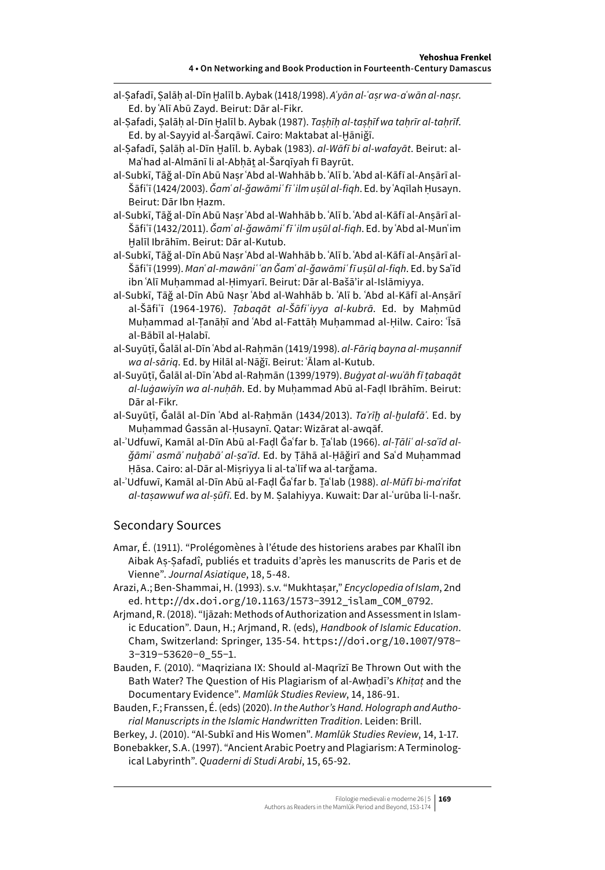- al-Ṣafadī, Ṣalāḥ al-Dīn Ḫalīl b. Aybak (1418/1998). *Aʿyān al-ʿaṣr wa-aʿwān al-naṣr*. Ed. by ʿAlī Abū Zayd. Beirut: Dār al-Fikr.
- al-Ṣafadi, Ṣalāḥ al-Dīn Ḫalīl b. Aybak (1987). *Taṣḥīḥ al-taṣḥīf wa taḥrīr al-taḥrīf*. Ed. by al-Sayyid al-Šarqāwī. Cairo: Maktabat al-Ḫāniǧī.
- al-Ṣafadī, Ṣalāḥ al-Dīn Ḫalīl. b. Aybak (1983). *al-Wāfī bi al-wafayāt*. Beirut: al-Maʿhad al-Almānī li al-Abhāt al-Šarqīyah fī Bayrūt.
- al-Subkī, Tāǧ al-Dīn Abū Naṣr ʿAbd al-Wahhāb b. ʿAlī b. ʿAbd al-Kāfī al-Anṣārī al-Šāfiʿī (1424/2003). *Ǧamʿ al-ǧawāmiʿ fī ʿilm uṣūl al-fiqh*. Ed. by ʿAqīlah Ḥusayn. Beirut: Dār Ibn Ḥazm.
- al-Subkī, Tāǧ al-Dīn Abū Naṣr ʿAbd al-Wahhāb b. ʿAlī b. ʿAbd al-Kāfī al-Anṣārī al-Šāfiʿī (1432/2011). *Ǧamʿ al-ǧawāmiʿ fī ʿilm uṣūl al-fiqh*. Ed. by ʿAbd al-Munʿim Ḫalīl Ibrāhīm. Beirut: Dār al-Kutub.
- al-Subkī, Tāǧ al-Dīn Abū Naṣr ʿAbd al-Wahhāb b. ʿAlī b. ʿAbd al-Kāfī al-Anṣārī al-Šāfiʿī (1999). *Manʿ al-mawāniʿ ʿan Ǧamʿ al-ǧawāmiʿ fī uṣūl al-fiqh*. Ed. by Saʿīd ibn ʿAlī Muḥammad al-Ḥimyarī. Beirut: Dār al-Bašā'ir al-Islāmiyya.
- al-Subkī, Tāǧ al-Dīn Abū Naṣr ʿAbd al-Wahhāb b. ʿAlī b. ʿAbd al-Kāfī al-Anṣārī al-Šāfiʿī (1964-1976). *Tabagāt al-Šāfiʿiyya al-kubrā*. Ed. by Mahmūd Muhammad al-Tanāhī and ʿAbd al-Fattāh Muhammad al-Hilw. Cairo: 'Īsā al-Bābīl al-Ḥalabī.
- al-Suyūṭī, Ǧalāl al-Dīn ʿAbd al-Raḥmān (1419/1998). *al-Fāriq bayna al-muṣannif wa al-sāriq*. Ed. by Hilāl al-Nāǧī. Beirut: ʿĀlam al-Kutub.
- al-Suyūṭī, Ǧalāl al-Dīn ʿAbd al-Raḥmān (1399/1979). *Buġyat al-wuʿāh fī ṭabaqāt al-luġawiyīn wa al-nuḥāh*. Ed. by Muḥammad Abū al-Faḍl Ibrāhīm. Beirut: Dār al-Fikr.
- al-Suyūṭī, Ǧalāl al-Dīn ʿAbd al-Raḥmān (1434/2013). *Taʾrīḫ al-ḫulafāʾ*. Ed. by Muhammad Ġassān al-Husaynī. Qatar: Wizārat al-awqāf.
- al-ʾUdfuwī, Kamāl al-Dīn Abū al-Faḍl Ǧaʿfar b. Ṯaʿlab (1966). *al-Ṭāliʿ al-saʿīd alǧāmiʿ asmāʾ nuḫabāʾ al-ṣaʿīd*. Ed. by Ṭāhā al-Ḥāǧirī and Saʿd Muḥammad Ḥāsa. Cairo: al-Dār al-Miṣriyya li al-taʾlīf wa al-tarǧama.
- al-ʾUdfuwī, Kamāl al-Dīn Abū al-Faḍl Ǧaʿfar b. Ṯaʿlab (1988). *al-Mūfī bi-maʿrifat al-taṣawwuf wa al-ṣūfī*. Ed. by M. Ṣalahiyya. Kuwait: Dar al-ʿurūba li-l-našr.

#### Secondary Sources

- Amar, É. (1911). "Prolégomènes à l'étude des historiens arabes par Khalîl ibn Aibak Aṣ-Ṣafadî, publiés et traduits d'après les manuscrits de Paris et de Vienne". *Journal Asiatique*, 18, 5-48.
- Arazi, A.; Ben-Shammai, H. (1993). s.v. "Mukhtaṣar," *Encyclopedia of Islam*, 2nd ed. [http://dx.doi.org/10.1163/1573-3912\\_islam\\_COM\\_0792](http://dx.doi.org/10.1163/1573-3912_islam_COM_0792).
- Arjmand, R. (2018). "Ijāzah: Methods of Authorization and Assessment in Islamic Education". Daun, H.; Arjmand, R. (eds), *Handbook of Islamic Education*. Cham, Switzerland: Springer, 135-54. [https://doi.org/10.1007/978-](https://doi.org/10.1007/978-3-319-53620-0_55-1) [3-319-53620-0\\_55-1](https://doi.org/10.1007/978-3-319-53620-0_55-1).
- Bauden, F. (2010). "Maqriziana IX: Should al-Maqrīzī Be Thrown Out with the Bath Water? The Question of His Plagiarism of al-Awḥadī's *Khiṭaṭ* and the Documentary Evidence". *Mamlūk Studies Review*, 14, 186-91.
- Bauden, F.; Franssen, É. (eds) (2020). *In the Author's Hand. Holograph and Authorial Manuscripts in the Islamic Handwritten Tradition*. Leiden: Brill.

Berkey, J. (2010). "Al-Subkī and His Women". *Mamlūk Studies Review*, 14, 1-17.

Bonebakker, S.A. (1997). "Ancient Arabic Poetry and Plagiarism: A Terminological Labyrinth". *Quaderni di Studi Arabi*, 15, 65-92.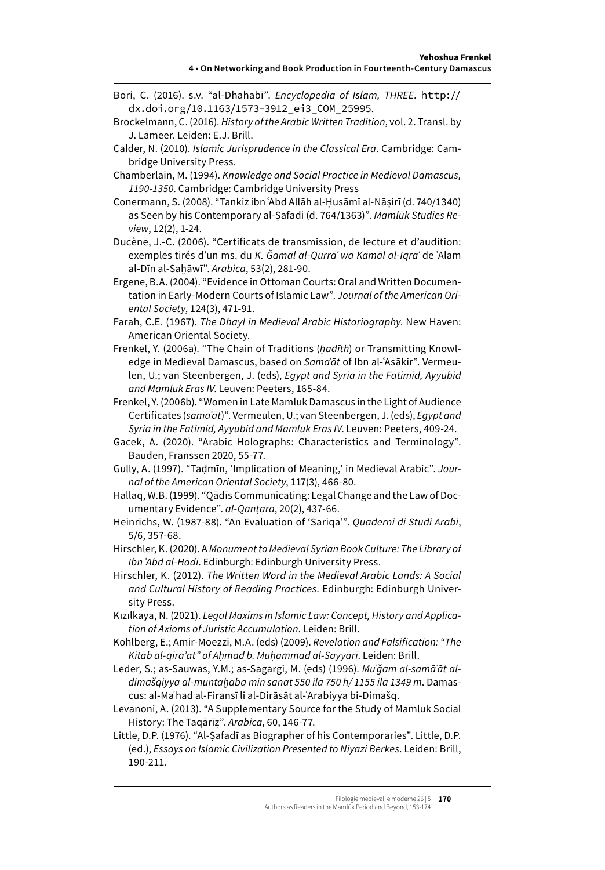- Bori, C. (2016). s.v. "al-Dhahabī". *Encyclopedia of Islam, THREE*. [http://](http://dx.doi.org/10.1163/1573-3912_ei3_COM_25995) [dx.doi.org/10.1163/1573-3912\\_ei3\\_COM\\_25995](http://dx.doi.org/10.1163/1573-3912_ei3_COM_25995).
- Brockelmann, C. (2016). *History of the Arabic Written Tradition*, vol. 2. Transl. by J. Lameer. Leiden: E.J. Brill.
- Calder, N. (2010). *Islamic Jurisprudence in the Classical Era*. Cambridge: Cambridge University Press.
- Chamberlain, M. (1994). *Knowledge and Social Practice in Medieval Damascus, 1190-1350*. Cambridge: Cambridge University Press
- Conermann, S. (2008). "Tankiz ibn ʿAbd Allāh al-Ḥusāmī al-Nāṣirī (d. 740/1340) as Seen by his Contemporary al-Ṣafadi (d. 764/1363)". *Mamlūk Studies Review*, 12(2), 1-24.
- Ducène, J.-C. (2006). "Certificats de transmission, de lecture et d'audition: exemples tirés d'un ms. du *K. Ǧamāl al-Qurrāʾ wa Kamāl al-Iqrāʾ* de ʿAlam al-Dīn al-Saḫāwī". *Arabica*, 53(2), 281-90.
- Ergene, B.A. (2004). "Evidence in Ottoman Courts: Oral and Written Documentation in Early-Modern Courts of Islamic Law". *Journal of the American Oriental Society*, 124(3), 471-91.
- Farah, C.E. (1967). *The Dhayl in Medieval Arabic Historiography*. New Haven: American Oriental Society.
- Frenkel, Y. (2006a). "The Chain of Traditions (*ḥadīth*) or Transmitting Knowledge in Medieval Damascus, based on *Samaʿāt* of Ibn al-ʿAsākir". Vermeulen, U.; van Steenbergen, J. (eds), *Egypt and Syria in the Fatimid, Ayyubid and Mamluk Eras IV*. Leuven: Peeters, 165-84.
- Frenkel, Y. (2006b). "Women in Late Mamluk Damascus in the Light of Audience Certificates (*samaʿāt*)". Vermeulen, U.; van Steenbergen, J. (eds), *Egypt and Syria in the Fatimid, Ayyubid and Mamluk Eras IV*. Leuven: Peeters, 409-24.
- Gacek, A. (2020). "Arabic Holographs: Characteristics and Terminology". Bauden, Franssen 2020, 55-77.
- Gully, A. (1997). "Taḍmīn, 'Implication of Meaning,' in Medieval Arabic". *Journal of the American Oriental Society*, 117(3), 466-80.
- Hallaq, W.B. (1999). "Qādīs Communicating: Legal Change and the Law of Documentary Evidence". *al-Qanṭara*, 20(2), 437-66.
- Heinrichs, W. (1987-88). "An Evaluation of 'Sariqa'". *Quaderni di Studi Arabi*, 5/6, 357-68.
- Hirschler, K. (2020). A *Monument to Medieval Syrian Book Culture: The Library of Ibn ʿAbd al-Hādī*. Edinburgh: Edinburgh University Press.
- Hirschler, K. (2012). *The Written Word in the Medieval Arabic Lands: A Social and Cultural History of Reading Practices*. Edinburgh: Edinburgh University Press.
- Kızılkaya, N. (2021). *Legal Maxims in Islamic Law: Concept, History and Application of Axioms of Juristic Accumulation*. Leiden: Brill.
- Kohlberg, E.; Amir-Moezzi, M.A. (eds) (2009). *Revelation and Falsification: "The Kitāb al-qirā'āt" of Aḥmad b. Muḥammad al-Sayyārī*. Leiden: Brill.
- Leder, S.; as-Sauwas, Y.M.; as-Sagargi, M. (eds) (1996). *Muʿǧam al-samāʿāt aldimašqiyya al-muntaḫaba min sanat 550 ilā 750 h/ 1155 ilā 1349 m*. Damascus: al-Maʿhad al-Firansī li al-Dirāsāt al-ʿArabiyya bi-Dimašq.
- Levanoni, A. (2013). "A Supplementary Source for the Study of Mamluk Social History: The Taqārīẓ". *Arabica*, 60, 146-77.
- Little, D.P. (1976). "Al-Ṣafadī as Biographer of his Contemporaries". Little, D.P. (ed.), *Essays on Islamic Civilization Presented to Niyazi Berkes*. Leiden: Brill, 190-211.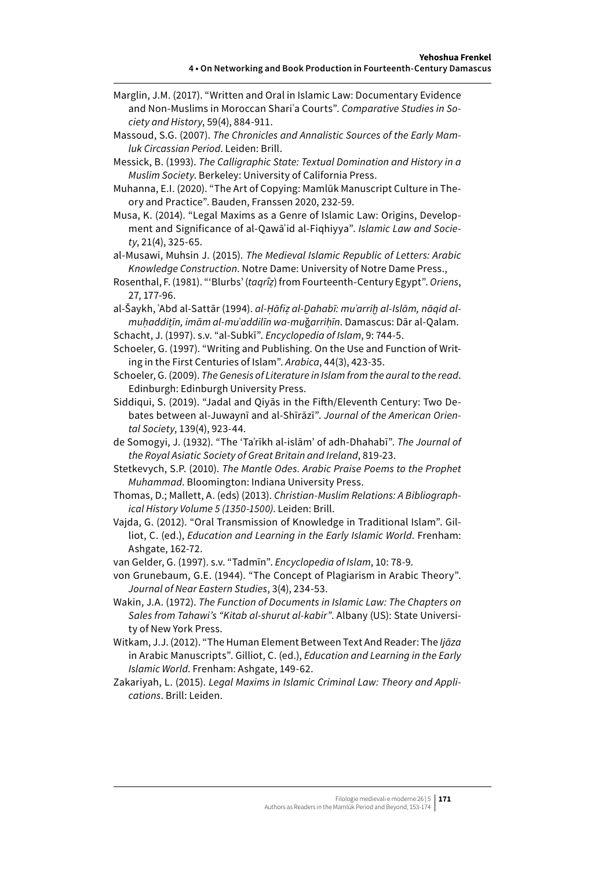- Marglin, J.M. (2017). "Written and Oral in Islamic Law: Documentary Evidence and Non-Muslims in Moroccan Shariʿa Courts". *Comparative Studies in Society and History*, 59(4), 884-911.
- Massoud, S.G. (2007). *The Chronicles and Annalistic Sources of the Early Mamluk Circassian Period*. Leiden: Brill.
- Messick, B. (1993). *The Calligraphic State: Textual Domination and History in a Muslim Society*. Berkeley: University of California Press.
- Muhanna, E.I. (2020). "The Art of Copying: Mamlūk Manuscript Culture in Theory and Practice". Bauden, Franssen 2020, 232-59.
- Musa, K. (2014). "Legal Maxims as a Genre of Islamic Law: Origins, Development and Significance of al-Qawāʿid al-Fiqhiyya". *Islamic Law and Society*, 21(4), 325-65.
- al-Musawi, Muhsin J. (2015). *The Medieval Islamic Republic of Letters: Arabic Knowledge Construction*. Notre Dame: University of Notre Dame Press.,
- Rosenthal, F. (1981). "'Blurbs' (*taqrîẓ*) from Fourteenth-Century Egypt". *Oriens*, 27, 177-96.
- al-Šaykh, ʿAbd al-Sattār (1994). *al-Ḥāfiẓ al-Ḏahabī: muʾarriḫ al-Islām, nāqid almuḥaddiṯīn, imām al-muʿaddilīn wa-mu*ǧ*arriḥīn*. Damascus: Dār al-Qalam. Schacht, J. (1997). s.v. "al-Subkī". *Encyclopedia of Islam*, 9: 744-5.
- Schoeler, G. (1997). "Writing and Publishing. On the Use and Function of Writing in the First Centuries of Islam". *Arabica*, 44(3), 423-35.
- Schoeler, G. (2009). *The Genesis of Literature in Islam from the aural to the read*. Edinburgh: Edinburgh University Press.
- Siddiqui, S. (2019). "Jadal and Qiyās in the Fifth/Eleventh Century: Two Debates between al-Juwaynī and al-Shīrāzī". *Journal of the American Oriental Society*, 139(4), 923-44.
- de Somogyi, J. (1932). "The 'Taʾrīkh al-islām' of adh-Dhahabī". *The Journal of the Royal Asiatic Society of Great Britain and Ireland*, 819-23.
- Stetkevych, S.P. (2010). *The Mantle Odes. Arabic Praise Poems to the Prophet Muhammad*. Bloomington: Indiana University Press.
- Thomas, D.; Mallett, A. (eds) (2013). *Christian-Muslim Relations: A Bibliographical History Volume 5 (1350-1500)*. Leiden: Brill.
- Vajda, G. (2012). "Oral Transmission of Knowledge in Traditional Islam". Gilliot, C. (ed.), *Education and Learning in the Early Islamic World*. Frenham: Ashgate, 162-72.
- van Gelder, G. (1997). s.v. "Tadmīn". *Encyclopedia of Islam*, 10: 78-9.
- von Grunebaum, G.E. (1944). "The Concept of Plagiarism in Arabic Theory". *Journal of Near Eastern Studies*, 3(4), 234-53.
- Wakin, J.A. (1972). *The Function of Documents in Islamic Law: The Chapters on Sales from Tahawi's "Kitab al-shurut al-kabir"*. Albany (US): State University of New York Press.
- Witkam, J.J. (2012). "The Human Element Between Text And Reader: The *Ijāza* in Arabic Manuscripts". Gilliot, C. (ed.), *Education and Learning in the Early Islamic World*. Frenham: Ashgate, 149-62.
- Zakariyah, L. (2015). *Legal Maxims in Islamic Criminal Law: Theory and Applications*. Brill: Leiden.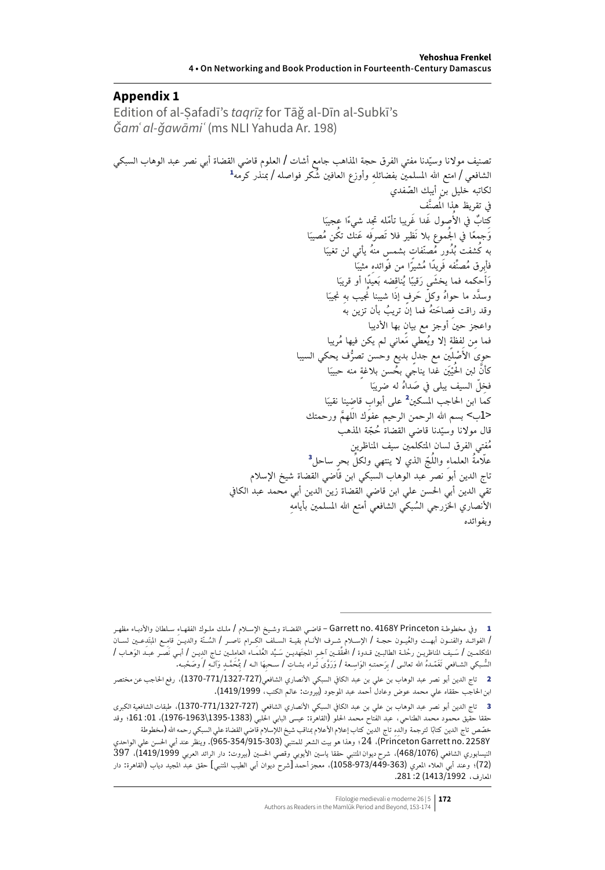#### **Appendix 1**

Edition of al-Ṣafadī's *taqrīẓ* for Tāǧ al-Dīn al-Subkī's *Ǧamʿ al-ǧawāmiʿ* (ms NLI Yahuda Ar. 198)

ّدنا مفتي الفرق حجة املذاهب جامع أشات / العلوم قاضي القضاة أبي نصر عبد الوهاب السبكي 1 تصنيف موالنا وسي ِ وأوزع العافني ُشكر فواصله / مبنذر كرمه الشافعي / امتع اهلل املسلمني بفضائله لكاتبه خليل بن أيبك ّ الصفدي ُ َّصنف يف تقريظ هذا امل َا ُصول َغدا َغريبا ّ تأمله ِجتد ً شيءا عجيب ِك ٌ تاب يف األ َا َو ًجمعا يف ُ اجلموع بال نَظير فال تَصرفه َعنك ُتكن ُمصيب َا بُدور ُم ّصن ٍ فات ٍ بشمس ُمنه يأتي لن تغيب به ُكشفت ُ َا ِ مثيب فأبرق ُم ِّصنفه َف ًريدا ُم ًشيرا من فوائده َا ِضه بَ ًعيدا أو قريب يناق ًا ُ َحكمه فما َ يخشى َرقيب َوأ َا ِ جنيب َّ وسدد ما ُ حواه ّ وكل َح ٍرف إذا شيبنا ُنيب به ِ َصاح ُته فما إن ُ تريب بأن تزين به وقد راقت ف واعجز حني أوجز مع ٍ بيان بها األديبا ٍ إال ُويعطي َمعاني لم يكن فيها ُمريبا ِن لفظة فما م ُّف يحكي السيبا َ ْصلني مع ٍ جدل بديع وحسن تصر حوى األ َا ٍ منه حبيب َْي غدا يناجي ُ بحسن بالغة َّكأن لنب ُ احلي َا ِ فخ ّل السيف يبلى يف َص ُداه له ضريب َا 2 على ِ أبواب ِ قاضينا نقيب كما ابن احلاجب املسكني >1ب< بسم اهلل الرحمن الرحيم عفوك َّ اللهم ورحمتك ّدنا قاضي القضاة ُح ّجة املذهب قال موالنا وسي 3 ُمفتي الفرق لسان املتكلمني سيف املناظرين ُ ّج الذي ال ينتهي ِّ ولكل ٍ بحر ساحل ِ والل عّل ُمة العلماء تاج الدين أبو نصر عبد الوهاب السبكي ابن قاضي القضاة شيخ اإلسالم تقي الدين أبي احلسن علي ابن قاضي القضاة زين الدين أبي محمد عبد الكايف ِ األنصاري اخلزرجي ُ السبكي الشافعي أمتع اهلل املسلمني بأيامه وبفوائده

<sup>1</sup> وفي مخطوطـة Garrett no. 4168Y Princeton – قاضـي القضـاة وشـيخ الإسـلام / ملـك ملـوك الفقهـاءِ سـلطان والأدبـاء مظهـر / الفوائــد والفنــون أبهــت والعُيــون حجــة / الإســلام شــرف الأنــام بقيــة الســلف الكِــرام ناصــر / السُــنّة والديــن قامِــع المبتَدِعــين لســان المتكلمــين / سَـيف المناظريــن رحْلــة الطالبــين قــدوة / المحقّقـين آخـِر المجتَهديــن سَـيّد العُلمــاء العامِلــين تــاج الدِيــن / أبــي نَصــر عبــد الوَهــاب / السُّـبكي الشـافعي تَغَمّـدهُ الله تعالـى / بِرَحمتـهِ الوَاسِـعة / وَرَوَّى ثَـراه بشـاتِ / سـحبِهَا الــه / بُمَحَمّـدٍ وَآلــهِ / وصَحْبـه.

<sup>2</sup> تاج الدين أبو نصر عبد الوهاب بن علي بن عبد الكايف السبكي األنصاري الشافعي)1370-771/1327-727(، رفع احلاجب عن مختصر ابن احلاجب حققاه علي محمد عوض وعادل أحمد عبد املوجود )بيروت: عالم الكتب، 1419/1999(.

<sup>3</sup> تاج الدين أبو نصر عبد الوهاب بن علي بن عبد الكايف السبكي األنصاري الشافعي )1370-771/1327-727(، طبقات الشافعية الكبرى حققا حقيق محمود محمد الطناحي، عبد الفتاح محمد الحلو (القاهرة: عيسى البابي الحلبي (1383-1976-1976-1966)، 10: 161؛ وقد خصّص تاج الدين كتابًا لترجمة والدِهِ تاج الدين كتاب إعلام الأعلام بمناقب شيخ اللإسلام قاضي القضاة علي السبكي رحمه الله (مخطوطة

Y2258 .no Garrett Princeton)، 24؛ وهذا هو بيت الشعر للمتنبي )965-354/915-303(. وينظر عند أبي احلسن علي الواحدي النيسابوري الشافعي (468/1076)، شرح ديوان المتنبي حققا ياسين الأيوبي وقصي الحسين (بيروت: دار الرائد العربي 1419/1999)، 397 )72(؛ وعند أبي العالء املعري )1058-973/449-363(، معجز أحمد ]شرح ديوان أبي الطيب املتنبي[ حقق عبد املجيد دياب )القاهرة: دار ، ب<br>المارف، 1992/1413/1992. 281.